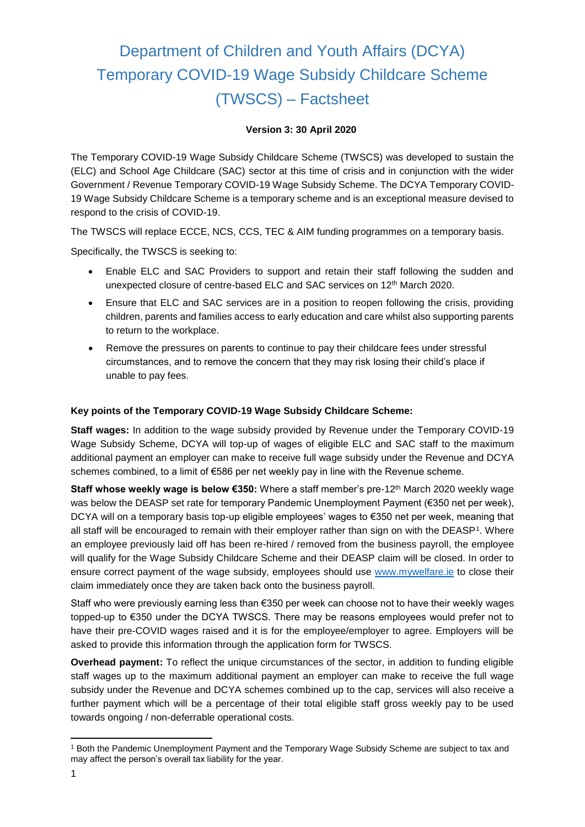# Department of Children and Youth Affairs (DCYA) Temporary COVID-19 Wage Subsidy Childcare Scheme (TWSCS) – Factsheet

#### **Version 3: 30 April 2020**

The Temporary COVID-19 Wage Subsidy Childcare Scheme (TWSCS) was developed to sustain the (ELC) and School Age Childcare (SAC) sector at this time of crisis and in conjunction with the wider Government / Revenue Temporary COVID-19 Wage Subsidy Scheme. The DCYA Temporary COVID-19 Wage Subsidy Childcare Scheme is a temporary scheme and is an exceptional measure devised to respond to the crisis of COVID-19.

The TWSCS will replace ECCE, NCS, CCS, TEC & AIM funding programmes on a temporary basis.

Specifically, the TWSCS is seeking to:

- Enable ELC and SAC Providers to support and retain their staff following the sudden and unexpected closure of centre-based ELC and SAC services on 12<sup>th</sup> March 2020.
- Ensure that ELC and SAC services are in a position to reopen following the crisis, providing children, parents and families access to early education and care whilst also supporting parents to return to the workplace.
- Remove the pressures on parents to continue to pay their childcare fees under stressful circumstances, and to remove the concern that they may risk losing their child's place if unable to pay fees.

#### **Key points of the Temporary COVID-19 Wage Subsidy Childcare Scheme:**

**Staff wages:** In addition to the wage subsidy provided by Revenue under the Temporary COVID-19 Wage Subsidy Scheme, DCYA will top-up of wages of eligible ELC and SAC staff to the maximum additional payment an employer can make to receive full wage subsidy under the Revenue and DCYA schemes combined, to a limit of €586 per net weekly pay in line with the Revenue scheme.

**Staff whose weekly wage is below €350:** Where a staff member's pre-12<sup>th</sup> March 2020 weekly wage was below the DEASP set rate for temporary Pandemic Unemployment Payment (€350 net per week), DCYA will on a temporary basis top-up eligible employees' wages to €350 net per week, meaning that all staff will be encouraged to remain with their employer rather than sign on with the DEASP1. Where an employee previously laid off has been re-hired / removed from the business payroll, the employee will qualify for the Wage Subsidy Childcare Scheme and their DEASP claim will be closed. In order to ensure correct payment of the wage subsidy, employees should use [www.mywelfare.ie](http://www.mywelfare.ie/) to close their claim immediately once they are taken back onto the business payroll.

Staff who were previously earning less than €350 per week can choose not to have their weekly wages topped-up to €350 under the DCYA TWSCS. There may be reasons employees would prefer not to have their pre-COVID wages raised and it is for the employee/employer to agree. Employers will be asked to provide this information through the application form for TWSCS.

**Overhead payment:** To reflect the unique circumstances of the sector, in addition to funding eligible staff wages up to the maximum additional payment an employer can make to receive the full wage subsidy under the Revenue and DCYA schemes combined up to the cap, services will also receive a further payment which will be a percentage of their total eligible staff gross weekly pay to be used towards ongoing / non-deferrable operational costs.

**.** 

<sup>1</sup> Both the Pandemic Unemployment Payment and the Temporary Wage Subsidy Scheme are subject to tax and may affect the person's overall tax liability for the year.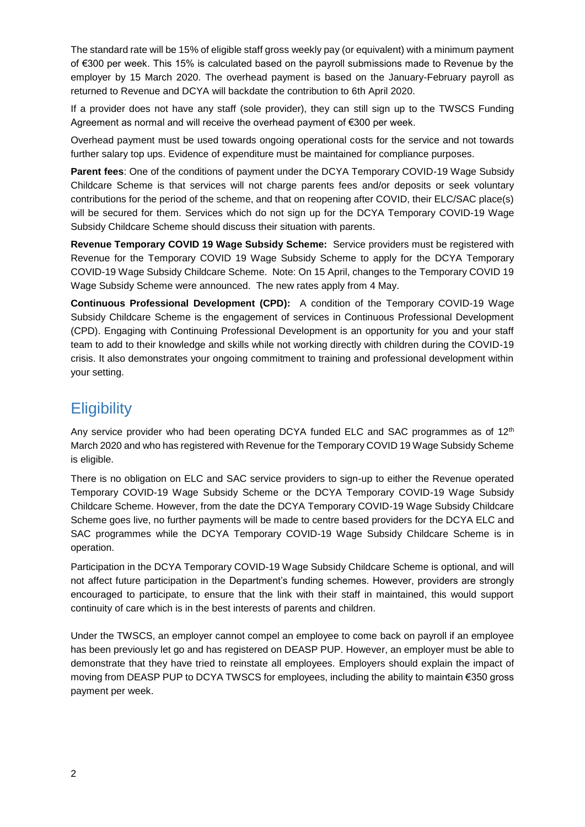The standard rate will be 15% of eligible staff gross weekly pay (or equivalent) with a minimum payment of €300 per week. This 15% is calculated based on the payroll submissions made to Revenue by the employer by 15 March 2020. The overhead payment is based on the January-February payroll as returned to Revenue and DCYA will backdate the contribution to 6th April 2020.

If a provider does not have any staff (sole provider), they can still sign up to the TWSCS Funding Agreement as normal and will receive the overhead payment of €300 per week.

Overhead payment must be used towards ongoing operational costs for the service and not towards further salary top ups. Evidence of expenditure must be maintained for compliance purposes.

**Parent fees**: One of the conditions of payment under the DCYA Temporary COVID-19 Wage Subsidy Childcare Scheme is that services will not charge parents fees and/or deposits or seek voluntary contributions for the period of the scheme, and that on reopening after COVID, their ELC/SAC place(s) will be secured for them. Services which do not sign up for the DCYA Temporary COVID-19 Wage Subsidy Childcare Scheme should discuss their situation with parents.

**Revenue Temporary COVID 19 Wage Subsidy Scheme:** Service providers must be registered with Revenue for the Temporary COVID 19 Wage Subsidy Scheme to apply for the DCYA Temporary COVID-19 Wage Subsidy Childcare Scheme. Note: On 15 April, changes to the Temporary COVID 19 Wage Subsidy Scheme were announced. The new rates apply from 4 May.

**Continuous Professional Development (CPD):** A condition of the Temporary COVID-19 Wage Subsidy Childcare Scheme is the engagement of services in Continuous Professional Development (CPD). Engaging with Continuing Professional Development is an opportunity for you and your staff team to add to their knowledge and skills while not working directly with children during the COVID-19 crisis. It also demonstrates your ongoing commitment to training and professional development within your setting.

### **Eligibility**

Any service provider who had been operating DCYA funded ELC and SAC programmes as of  $12<sup>th</sup>$ March 2020 and who has registered with Revenue for the Temporary COVID 19 Wage Subsidy Scheme is eligible.

There is no obligation on ELC and SAC service providers to sign-up to either the Revenue operated Temporary COVID-19 Wage Subsidy Scheme or the DCYA Temporary COVID-19 Wage Subsidy Childcare Scheme. However, from the date the DCYA Temporary COVID-19 Wage Subsidy Childcare Scheme goes live, no further payments will be made to centre based providers for the DCYA ELC and SAC programmes while the DCYA Temporary COVID-19 Wage Subsidy Childcare Scheme is in operation.

Participation in the DCYA Temporary COVID-19 Wage Subsidy Childcare Scheme is optional, and will not affect future participation in the Department's funding schemes. However, providers are strongly encouraged to participate, to ensure that the link with their staff in maintained, this would support continuity of care which is in the best interests of parents and children.

Under the TWSCS, an employer cannot compel an employee to come back on payroll if an employee has been previously let go and has registered on DEASP PUP. However, an employer must be able to demonstrate that they have tried to reinstate all employees. Employers should explain the impact of moving from DEASP PUP to DCYA TWSCS for employees, including the ability to maintain €350 gross payment per week.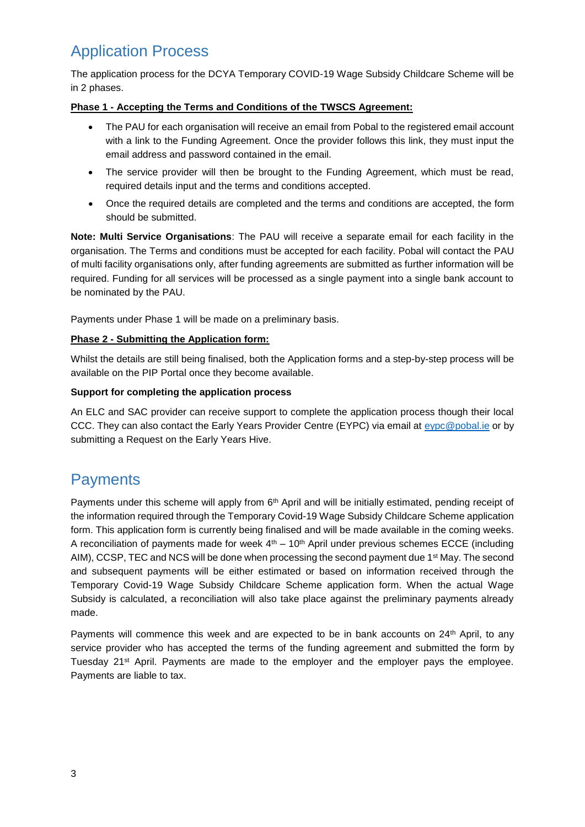# Application Process

The application process for the DCYA Temporary COVID-19 Wage Subsidy Childcare Scheme will be in 2 phases.

#### **Phase 1 - Accepting the Terms and Conditions of the TWSCS Agreement:**

- The PAU for each organisation will receive an email from Pobal to the registered email account with a link to the Funding Agreement. Once the provider follows this link, they must input the email address and password contained in the email.
- The service provider will then be brought to the Funding Agreement, which must be read, required details input and the terms and conditions accepted.
- Once the required details are completed and the terms and conditions are accepted, the form should be submitted.

**Note: Multi Service Organisations**: The PAU will receive a separate email for each facility in the organisation. The Terms and conditions must be accepted for each facility. Pobal will contact the PAU of multi facility organisations only, after funding agreements are submitted as further information will be required. Funding for all services will be processed as a single payment into a single bank account to be nominated by the PAU.

Payments under Phase 1 will be made on a preliminary basis.

#### **Phase 2 - Submitting the Application form:**

Whilst the details are still being finalised, both the Application forms and a step-by-step process will be available on the PIP Portal once they become available.

#### **Support for completing the application process**

An ELC and SAC provider can receive support to complete the application process though their local CCC. They can also contact the Early Years Provider Centre (EYPC) via email at [eypc@pobal.ie](mailto:eypc@pobal.ie) or by submitting a Request on the Early Years Hive.

# **Payments**

Payments under this scheme will apply from  $6<sup>th</sup>$  April and will be initially estimated, pending receipt of the information required through the Temporary Covid-19 Wage Subsidy Childcare Scheme application form. This application form is currently being finalised and will be made available in the coming weeks. A reconciliation of payments made for week  $4<sup>th</sup> - 10<sup>th</sup>$  April under previous schemes ECCE (including AIM), CCSP, TEC and NCS will be done when processing the second payment due 1st May. The second and subsequent payments will be either estimated or based on information received through the Temporary Covid-19 Wage Subsidy Childcare Scheme application form. When the actual Wage Subsidy is calculated, a reconciliation will also take place against the preliminary payments already made.

Payments will commence this week and are expected to be in bank accounts on 24th April, to any service provider who has accepted the terms of the funding agreement and submitted the form by Tuesday 21st April. Payments are made to the employer and the employer pays the employee. Payments are liable to tax.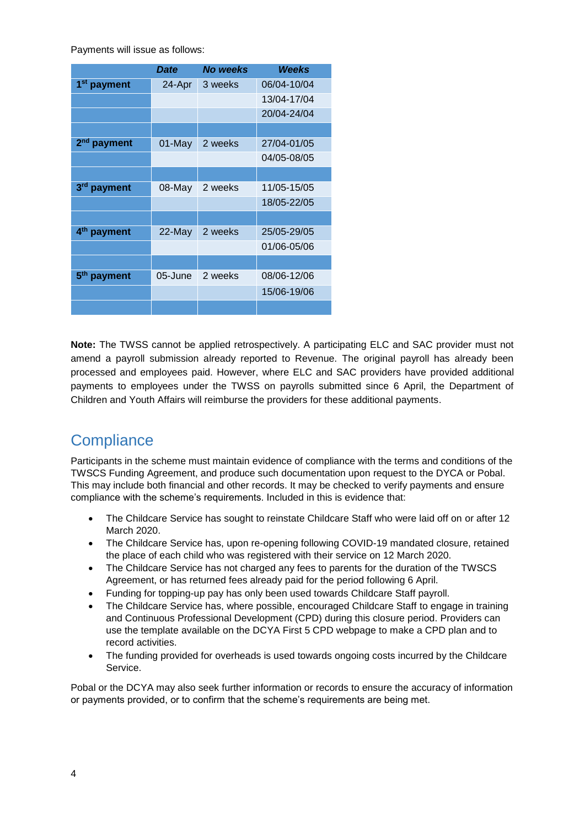Payments will issue as follows:

|                            | Date    | No weeks | Weeks       |
|----------------------------|---------|----------|-------------|
| 1 <sup>st</sup> payment    | 24-Apr  | 3 weeks  | 06/04-10/04 |
|                            |         |          | 13/04-17/04 |
|                            |         |          | 20/04-24/04 |
|                            |         |          |             |
| 2 <sup>nd</sup> payment    | 01-May  | 2 weeks  | 27/04-01/05 |
|                            |         |          | 04/05-08/05 |
|                            |         |          |             |
| 3 <sup>rd</sup> payment    | 08-May  | 2 weeks  | 11/05-15/05 |
|                            |         |          | 18/05-22/05 |
|                            |         |          |             |
| 4 <sup>th</sup><br>payment | 22-May  | 2 weeks  | 25/05-29/05 |
|                            |         |          | 01/06-05/06 |
|                            |         |          |             |
| payment                    | 05-June | 2 weeks  | 08/06-12/06 |
|                            |         |          | 15/06-19/06 |
|                            |         |          |             |

**Note:** The TWSS cannot be applied retrospectively. A participating ELC and SAC provider must not amend a payroll submission already reported to Revenue. The original payroll has already been processed and employees paid. However, where ELC and SAC providers have provided additional payments to employees under the TWSS on payrolls submitted since 6 April, the Department of Children and Youth Affairs will reimburse the providers for these additional payments.

# **Compliance**

Participants in the scheme must maintain evidence of compliance with the terms and conditions of the TWSCS Funding Agreement, and produce such documentation upon request to the DYCA or Pobal. This may include both financial and other records. It may be checked to verify payments and ensure compliance with the scheme's requirements. Included in this is evidence that:

- The Childcare Service has sought to reinstate Childcare Staff who were laid off on or after 12 March 2020.
- The Childcare Service has, upon re-opening following COVID-19 mandated closure, retained the place of each child who was registered with their service on 12 March 2020.
- The Childcare Service has not charged any fees to parents for the duration of the TWSCS Agreement, or has returned fees already paid for the period following 6 April.
- Funding for topping-up pay has only been used towards Childcare Staff payroll.
- The Childcare Service has, where possible, encouraged Childcare Staff to engage in training and Continuous Professional Development (CPD) during this closure period. Providers can use the template available on the DCYA First 5 CPD webpage to make a CPD plan and to record activities.
- The funding provided for overheads is used towards ongoing costs incurred by the Childcare Service.

Pobal or the DCYA may also seek further information or records to ensure the accuracy of information or payments provided, or to confirm that the scheme's requirements are being met.